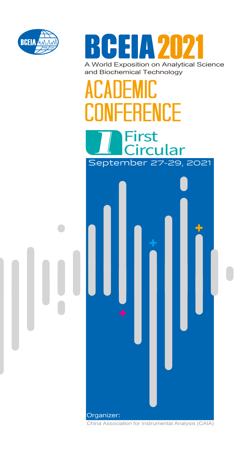

RCEIA 202 A World Exposition on Analytical Science and Biochemical Technology

# ACANEMII: **CONFERENCE** First



China Association for Instrumental Analysis (CAIA)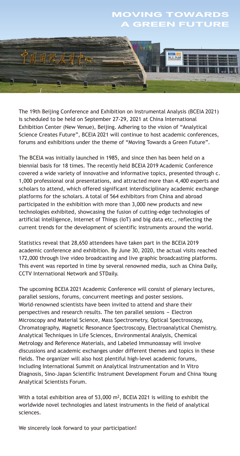### MOVING TOWARDS **GREEN FUTURE**



The 19th Beijing Conference and Exhibition on Instrumental Analysis (BCEIA 2021) is scheduled to be held on September 27-29, 2021 at China International Exhibition Center (New Venue), Beijing. Adhering to the vision of "Analytical Science Creates Future", BCEIA 2021 will continue to host academic conferences, forums and exhibitions under the theme of "Moving Towards a Green Future".

The BCEIA was initially launched in 1985, and since then has been held on a biennial basis for 18 times. The recently held BCEIA 2019 Academic Conference covered a wide variety of innovative and informative topics, presented through c. 1,000 professional oral presentations, and attracted more than 4,400 experts and scholars to attend, which offered significant interdisciplinary academic exchange platforms for the scholars. A total of 564 exhibitors from China and abroad participated in the exhibition with more than 3,000 new products and new technologies exhibited, showcasing the fusion of cutting-edge technologies of artificial intelligence, Internet of Things (IoT) and big data etc., reflecting the current trends for the development of scientific instruments around the world.

Statistics reveal that 28,650 attendees have taken part in the BCEIA 2019 academic conference and exhibition. By June 30, 2020, the actual visits reached 172,000 through live video broadcasting and live graphic broadcasting platforms. This event was reported in time by several renowned media, such as China Daily, CCTV International Network and STDaily.

The upcoming BCEIA 2021 Academic Conference will consist of plenary lectures, parallel sessions, forums, concurrent meetings and poster sessions. World-renowned scientists have been invited to attend and share their perspectives and research results. The ten parallel sessions - Electron Microscopy and Material Science, Mass Spectrometry, Optical Spectroscopy, Chromatography, Magnetic Resonance Spectroscopy, Electroanalytical Chemistry, Analytical Techniques in Life Sciences, Environmental Analysis, Chemical Metrology and Reference Materials, and Labeled Immunoassay will involve discussions and academic exchanges under different themes and topics in these fields. The organizer will also host plentiful high-level academic forums, including International Summit on Analytical Instrumentation and In Vitro Diagnosis, Sino-Japan Scientific Instrument Development Forum and China Young Analytical Scientists Forum.

With a total exhibition area of 53,000 m<sup>2</sup>, BCEIA 2021 is willing to exhibit the worldwide novel technologies and latest instruments in the field of analytical sciences.

We sincerely look forward to your participation!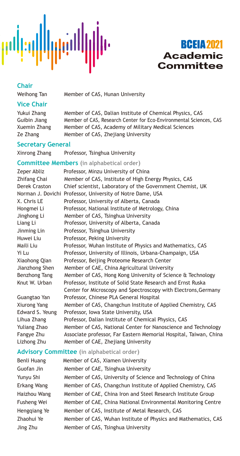

# **BCEIA 2021** Academic **Committee**

### **Chair**

Weihong Tan Member of CAS, Hunan University

### **Vice Chair**

Yukui Zhang Member of CAS, Dalian Institute of Chemical Physics, CAS Guibin Jiang Member of CAS, Research Center for Eco-Environmental Sciences, CAS Xuemin Zhang Member of CAS, Academy of Military Medical Sciences Ze Zhang Member of CAS, Zhejiang University

### **Secretary General**

Xinrong Zhang Professor, Tsinghua University

### **Committee Members (in alphabetical order)**

| Zeper Abliz                                                          | Professor, Minzu University of China                              |  |  |  |
|----------------------------------------------------------------------|-------------------------------------------------------------------|--|--|--|
| Member of CAS, Institute of High Energy Physics, CAS<br>Zhifang Chai |                                                                   |  |  |  |
| Derek Craston                                                        | Chief scientist, Laboratory of the Government Chemist, UK         |  |  |  |
|                                                                      | Norman J. Dovichi Professor, University of Notre Dame, USA        |  |  |  |
| X. Chris LE                                                          | Professor, University of Alberta, Canada                          |  |  |  |
| Hongmei Li                                                           | Professor, National Institute of Metrology, China                 |  |  |  |
| Jinghong Li                                                          | Member of CAS, Tsinghua University                                |  |  |  |
| Liang Li                                                             | Professor, University of Alberta, Canada                          |  |  |  |
| Jinming Lin                                                          | Professor, Tsinghua University                                    |  |  |  |
| Huwei Liu                                                            | Professor, Peking University                                      |  |  |  |
| Maili Liu                                                            | Professor, Wuhan Institute of Physics and Mathematics, CAS        |  |  |  |
| Yi Lu                                                                | Professor, University of Illinois, Urbana-Champaign, USA          |  |  |  |
| Xiaohong Qian                                                        | Professor, Beijing Proteome Research Center                       |  |  |  |
| Jianzhong Shen                                                       | Member of CAE, China Agricultural University                      |  |  |  |
| Benzhong Tang                                                        | Member of CAS, Hong Kong University of Science & Technology       |  |  |  |
| Knut W. Urban                                                        | Professor, Institute of Solid State Research and Ernst Ruska      |  |  |  |
|                                                                      | Center for Microscopy and Spectroscopy with Electrons, Germany    |  |  |  |
| Guangtao Yan                                                         | Professor, Chinese PLA General Hospital                           |  |  |  |
| Xiurong Yang                                                         | Member of CAS, Changchun Institute of Applied Chemistry, CAS      |  |  |  |
| Edward S. Yeung                                                      | Professor, Iowa State University, USA                             |  |  |  |
| Lihua Zhang                                                          | Professor, Dalian Institute of Chemical Physics, CAS              |  |  |  |
| Yuliang Zhao                                                         | Member of CAS, National Center for Nanoscience and Technology     |  |  |  |
| Fangye Zhu                                                           | Associate professor, Far Eastern Memorial Hospital, Taiwan, China |  |  |  |
| Lizhong Zhu                                                          | Member of CAE, Zhejiang University                                |  |  |  |

### **Advisory Committee (in alphabetical order)**

| Benli Huang  | Member of CAS, Xiamen University                               |
|--------------|----------------------------------------------------------------|
| Guofan Jin   | Member of CAE, Tsinghua University                             |
| Yunyu Shi    | Member of CAS, University of Science and Technology of China   |
| Erkang Wang  | Member of CAS, Changchun Institute of Applied Chemistry, CAS   |
| Haizhou Wang | Member of CAE, China Iron and Steel Research Institute Group   |
| Fusheng Wei  | Member of CAE, China National Environmental Monitoring Centre  |
| Henggiang Ye | Member of CAS, Institute of Metal Research, CAS                |
| Zhaohui Ye   | Member of CAS, Wuhan Institute of Physics and Mathematics, CAS |
| Jing Zhu     | Member of CAS, Tsinghua University                             |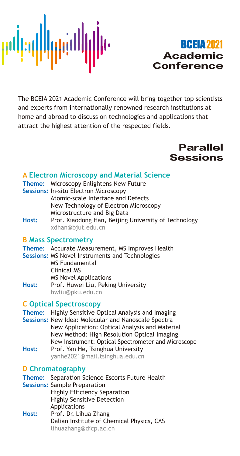

# **BCEIA 2021** Academic Conference

The BCEIA 2021 Academic Conference will bring together top scientists and experts from internationally renowned research institutions at home and abroad to discuss on technologies and applications that attract the highest attention of the respected fields.



### **A Electron Microscopy and Material Science**

|                   | <b>Theme:</b> Microscopy Enlightens New Future  |
|-------------------|-------------------------------------------------|
|                   | <b>Sessions: In-situ Electron Microscopy</b>    |
|                   | Atomic-scale Interface and Defects              |
|                   | New Technology of Electron Microscopy           |
|                   | Microstructure and Big Data                     |
| <b>Linguistic</b> | Dua C. Via a dana a Hang Daiilea Hairramain e a |

**Host:** Prof. Xiaodong Han, Beijing University of Technology xdhan@bjut.edu.cn

### **B Mass Spectrometry**

- **Theme:** Accurate Measurement, MS Improves Health
- **Sessions:** MS Novel Instruments and Technologies MS Fundamental Clinical MS MS Novel Applications **Host:** Prof. Huwei Liu, Peking University hwliu@pku.edu.cn

### **C Optical Spectroscopy**

- **Theme:** Highly Sensitive Optical Analysis and Imaging
- **Sessions:** New Idea: Molecular and Nanoscale Spectra New Application: Optical Analysis and Material New Method: High Resolution Optical Imaging New Instrument: Optical Spectrometer and Microscope
- **Host:** Prof. Yan He, Tsinghua University yanhe2021@mail.tsinghua.edu.cn

### **D Chromatography**

**Theme:** Separation Science Escorts Future Health **Sessions:** Sample Preparation Highly Efficiency Separation Highly Sensitive Detection Applications **Host:** Prof. Dr. Lihua Zhang Dalian Institute of Chemical Physics, CAS lihuazhang@dicp.ac.cn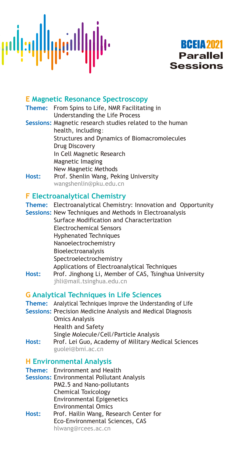

### **E Magnetic Resonance Spectroscopy**

**Theme:** From Spins to Life, NMR Facilitating in Understanding the Life Process **Sessions:** Magnetic research studies related to the human health, including: Structures and Dynamics of Biomacromolecules Drug Discovery In Cell Magnetic Research Magnetic Imaging New Magnetic Methods<br>Host: Prof. Shenlin Wang. Pek **Host:** Prof. Shenlin Wang, Peking University wangshenlin@pku.edu.cn

### **F Electroanalytical Chemistry**

|       | Theme: Electroanalytical Chemistry: Innovation and Opportunity<br>Sessions: New Techniques and Methods in Electroanalysis |                                              |                         |
|-------|---------------------------------------------------------------------------------------------------------------------------|----------------------------------------------|-------------------------|
|       | Surface Modification and Characterization                                                                                 |                                              |                         |
|       | Electrochemical Sensors                                                                                                   |                                              |                         |
|       | <b>Hyphenated Techniques</b>                                                                                              |                                              |                         |
|       | Nanoelectrochemistry<br>Bioelectroanalysis                                                                                |                                              |                         |
|       |                                                                                                                           |                                              | Spectroelectrochemistry |
|       |                                                                                                                           | Applications of Electroanalytical Techniques |                         |
| Host: | Prof. Jinghong Li, Member of CAS, Tsinghua University<br>jhli@mail.tsinghua.edu.cn                                        |                                              |                         |
|       | <b>G Analytical Techniques in Life Sciences</b>                                                                           |                                              |                         |
|       | Theme: Analytical Techniques Improve the Understanding of Life                                                            |                                              |                         |
|       | <b>Sessions: Precision Medicine Analysis and Medical Diagnosis</b>                                                        |                                              |                         |
|       | <b>Omics Analysis</b><br><b>Health and Safety</b>                                                                         |                                              |                         |
|       | Single Molecule/Cell/Particle Analysis                                                                                    |                                              |                         |
| Host: | Prof. Lei Guo, Academy of Military Medical Sciences<br>guolei@bmi.ac.cn                                                   |                                              |                         |
|       | <b>H</b> Environmental Analysis                                                                                           |                                              |                         |

### **Theme:** Environment and Health

**Sessions:** Environmental Pollutant Analysis PM2.5 and Nano-pollutants Chemical Toxicology Environmental Epigenetics Environmental Omics **Host:** Prof. Hailin Wang, Research Center for Eco-Environmental Sciences, CAS hlwang@rcees.ac.cn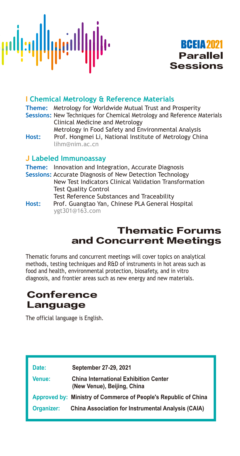



### **I Chemical Metrology & Reference Materials**

**Theme:** Metrology for Worldwide Mutual Trust and Prosperity **Sessions:** New Techniques for Chemical Metrology and Reference Materials Clinical Medicine and Metrology

Metrology in Food Safety and Environmental Analysis<br>Host: Prof. Hongmei Li, National Institute of Metrology Chi Prof. Hongmei Li, National Institute of Metrology China lihm@nim.ac.cn

### **J Labeled Immunoassay**

**Theme:** Innovation and Integration, Accurate Diagnosis **Sessions:** Accurate Diagnosis of New Detection Technology New Test Indicators Clinical Validation Transformation Test Quality Control Test Reference Substances and Traceability **Host:** Prof. Guangtao Yan, Chinese PLA General Hospital ygt301@163.com

# Thematic Forums and Concurrent Meetings

Thematic forums and concurrent meetings will cover topics on analytical methods, testing techniques and R&D of instruments in hot areas such as food and health, environmental protection, biosafety, and in vitro diagnosis, and frontier areas such as new energy and new materials.

# Conference Language

The official language is English.

| Date:         | September 27-29, 2021                                                       |
|---------------|-----------------------------------------------------------------------------|
| <b>Venue:</b> | <b>China International Exhibition Center</b><br>(New Venue), Beijing, China |
|               | Approved by: Ministry of Commerce of People's Republic of China             |
| Organizer:    | <b>China Association for Instrumental Analysis (CAIA)</b>                   |